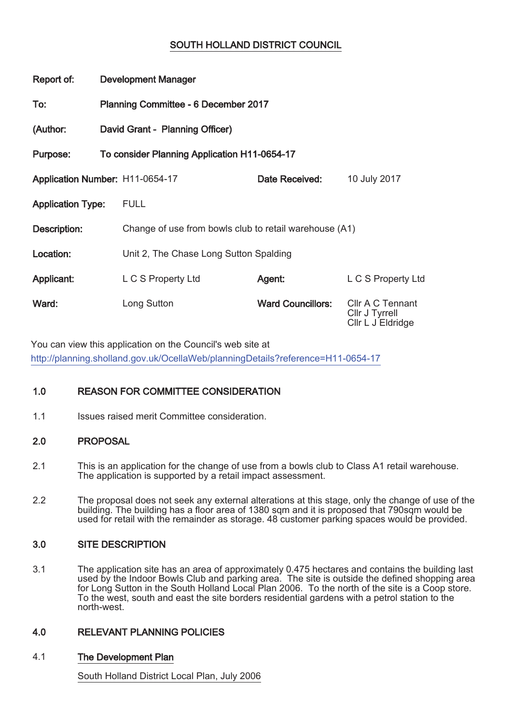# SOUTH HOLLAND DISTRICT COUNCIL

| Report of:                      | <b>Development Manager</b>                   |                                                        |                          |                                                         |
|---------------------------------|----------------------------------------------|--------------------------------------------------------|--------------------------|---------------------------------------------------------|
| To:                             | <b>Planning Committee - 6 December 2017</b>  |                                                        |                          |                                                         |
| (Author:                        | David Grant - Planning Officer)              |                                                        |                          |                                                         |
| Purpose:                        | To consider Planning Application H11-0654-17 |                                                        |                          |                                                         |
| Application Number: H11-0654-17 |                                              |                                                        | Date Received:           | 10 July 2017                                            |
| <b>Application Type:</b>        |                                              | <b>FULL</b>                                            |                          |                                                         |
| Description:                    |                                              | Change of use from bowls club to retail warehouse (A1) |                          |                                                         |
| Location:                       |                                              | Unit 2, The Chase Long Sutton Spalding                 |                          |                                                         |
| Applicant:                      |                                              | L C S Property Ltd                                     | Agent:                   | L C S Property Ltd                                      |
| Ward:                           |                                              | Long Sutton                                            | <b>Ward Councillors:</b> | Cllr A C Tennant<br>Cllr J Tyrrell<br>CIIr L J Eldridge |

You can view this application on the Council's web site at http://planning.sholland.gov.uk/OcellaWeb/planningDetails?reference=H11-0654-17

# 1.0 REASON FOR COMMITTEE CONSIDERATION

1.1 **Issues raised merit Committee consideration.** 

## 2.0 PROPOSAL

- 2.1 This is an application for the change of use from a bowls club to Class A1 retail warehouse. The application is supported by a retail impact assessment.
- 2.2 The proposal does not seek any external alterations at this stage, only the change of use of the building. The building has a floor area of 1380 sqm and it is proposed that 790sqm would be used for retail with the remainder as storage. 48 customer parking spaces would be provided.

## 3.0 SITE DESCRIPTION

3.1 The application site has an area of approximately 0.475 hectares and contains the building last used by the Indoor Bowls Club and parking area. The site is outside the defined shopping area for Long Sutton in the South Holland Local Plan 2006. To the north of the site is a Coop store. To the west, south and east the site borders residential gardens with a petrol station to the north-west.

## 4.0 RELEVANT PLANNING POLICIES

## 4.1 The Development Plan

South Holland District Local Plan, July 2006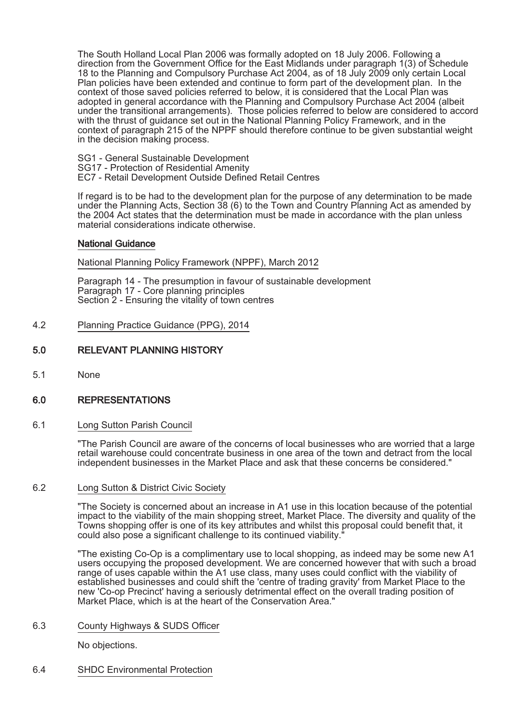The South Holland Local Plan 2006 was formally adopted on 18 July 2006. Following a direction from the Government Office for the East Midlands under paragraph 1(3) of Schedule 18 to the Planning and Compulsory Purchase Act 2004, as of 18 July 2009 only certain Local Plan policies have been extended and continue to form part of the development plan. In the context of those saved policies referred to below, it is considered that the Local Plan was adopted in general accordance with the Planning and Compulsory Purchase Act 2004 (albeit under the transitional arrangements). Those policies referred to below are considered to accord with the thrust of guidance set out in the National Planning Policy Framework, and in the context of paragraph 215 of the NPPF should therefore continue to be given substantial weight in the decision making process.

SG1 - General Sustainable Development

SG17 - Protection of Residential Amenity

EC7 - Retail Development Outside Defined Retail Centres

If regard is to be had to the development plan for the purpose of any determination to be made under the Planning Acts, Section 38 (6) to the Town and Country Planning Act as amended by the 2004 Act states that the determination must be made in accordance with the plan unless material considerations indicate otherwise.

#### National Guidance

National Planning Policy Framework (NPPF), March 2012

Paragraph 14 - The presumption in favour of sustainable development Paragraph 17 - Core planning principles Section 2 - Ensuring the vitality of town centres

4.2 Planning Practice Guidance (PPG), 2014

### 5.0 RELEVANT PLANNING HISTORY

5.1 None

#### 6.0 REPRESENTATIONS

#### 6.1 Long Sutton Parish Council

"The Parish Council are aware of the concerns of local businesses who are worried that a large retail warehouse could concentrate business in one area of the town and detract from the local independent businesses in the Market Place and ask that these concerns be considered."

#### 6.2 Long Sutton & District Civic Society

"The Society is concerned about an increase in A1 use in this location because of the potential impact to the viability of the main shopping street, Market Place. The diversity and quality of the Towns shopping offer is one of its key attributes and whilst this proposal could benefit that, it could also pose a significant challenge to its continued viability.

"The existing Co-Op is a complimentary use to local shopping, as indeed may be some new A1 users occupying the proposed development. We are concerned however that with such a broad range of uses capable within the A1 use class, many uses could conflict with the viability of established businesses and could shift the 'centre of trading gravity' from Market Place to the new 'Co-op Precinct' having a seriously detrimental effect on the overall trading position of Market Place, which is at the heart of the Conservation Area."

#### 6.3 County Highways & SUDS Officer

No objections.

#### 6.4 SHDC Environmental Protection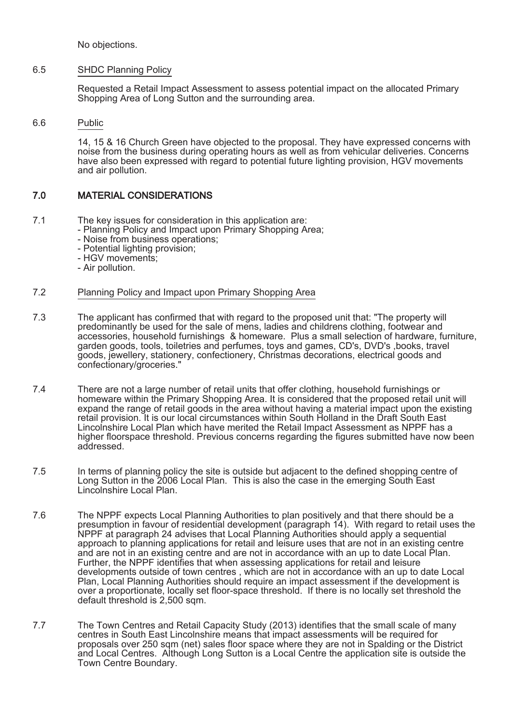No objections.

## 6.5 SHDC Planning Policy

Requested a Retail Impact Assessment to assess potential impact on the allocated Primary Shopping Area of Long Sutton and the surrounding area.

#### 6.6 Public

14, 15 & 16 Church Green have objected to the proposal. They have expressed concerns with noise from the business during operating hours as well as from vehicular deliveries. Concerns have also been expressed with regard to potential future lighting provision, HGV movements and air pollution.

## 7.0 MATERIAL CONSIDERATIONS

- 7.1 The key issues for consideration in this application are:
	- Planning Policy and Impact upon Primary Shopping Area;
	- Noise from business operations;
	- Potential lighting provision;
	- HGV movements;
	- Air pollution.

## 7.2 Planning Policy and Impact upon Primary Shopping Area

- 7.3 The applicant has confirmed that with regard to the proposed unit that: "The property will predominantly be used for the sale of mens, ladies and childrens clothing, footwear and accessories, household furnishings & homeware. Plus a small selection of hardware, furniture, garden goods, tools, toiletries and perfumes, toys and games, CD's, DVD's ,books, travel goods, jewellery, stationery, confectionery, Christmas decorations, electrical goods and confectionary/groceries."
- 7.4 There are not a large number of retail units that offer clothing, household furnishings or homeware within the Primary Shopping Area. It is considered that the proposed retail unit will expand the range of retail goods in the area without having a material impact upon the existing retail provision. It is our local circumstances within South Holland in the Draft South East Lincolnshire Local Plan which have merited the Retail Impact Assessment as NPPF has a higher floorspace threshold. Previous concerns regarding the figures submitted have now been addressed.
- 7.5 In terms of planning policy the site is outside but adjacent to the defined shopping centre of Long Sutton in the 2006 Local Plan. This is also the case in the emerging South East Lincolnshire Local Plan.
- 7.6 The NPPF expects Local Planning Authorities to plan positively and that there should be a presumption in favour of residential development (paragraph 14). With regard to retail uses the NPPF at paragraph 24 advises that Local Planning Authorities should apply a sequential approach to planning applications for retail and leisure uses that are not in an existing centre and are not in an existing centre and are not in accordance with an up to date Local Plan. Further, the NPPF identifies that when assessing applications for retail and leisure developments outside of town centres , which are not in accordance with an up to date Local Plan, Local Planning Authorities should require an impact assessment if the development is over a proportionate, locally set floor-space threshold. If there is no locally set threshold the default threshold is 2,500 sqm.
- 7.7 The Town Centres and Retail Capacity Study (2013) identifies that the small scale of many centres in South East Lincolnshire means that impact assessments will be required for proposals over 250 sqm (net) sales floor space where they are not in Spalding or the District and Local Centres. Although Long Sutton is a Local Centre the application site is outside the Town Centre Boundary.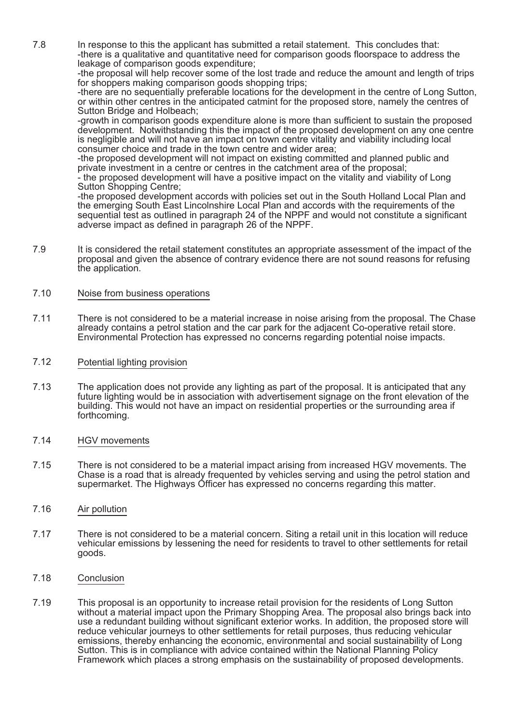7.8 In response to this the applicant has submitted a retail statement. This concludes that: -there is a qualitative and quantitative need for comparison goods floorspace to address the leakage of comparison goods expenditure;

-the proposal will help recover some of the lost trade and reduce the amount and length of trips for shoppers making comparison goods shopping trips;

-there are no sequentially preferable locations for the development in the centre of Long Sutton, or within other centres in the anticipated catmint for the proposed store, namely the centres of Sutton Bridge and Holbeach:

-growth in comparison goods expenditure alone is more than sufficient to sustain the proposed development. Notwithstanding this the impact of the proposed development on any one centre is negligible and will not have an impact on town centre vitality and viability including local consumer choice and trade in the town centre and wider area;

-the proposed development will not impact on existing committed and planned public and private investment in a centre or centres in the catchment area of the proposal;

- the proposed development will have a positive impact on the vitality and viability of Long Sutton Shopping Centre;

-the proposed development accords with policies set out in the South Holland Local Plan and the emerging South East Lincolnshire Local Plan and accords with the requirements of the sequential test as outlined in paragraph 24 of the NPPF and would not constitute a significant adverse impact as defined in paragraph 26 of the NPPF.

7.9 It is considered the retail statement constitutes an appropriate assessment of the impact of the proposal and given the absence of contrary evidence there are not sound reasons for refusing the application.

#### 7.10 Noise from business operations

7.11 There is not considered to be a material increase in noise arising from the proposal. The Chase already contains a petrol station and the car park for the adjacent Co-operative retail store. Environmental Protection has expressed no concerns regarding potential noise impacts.

#### 7.12 Potential lighting provision

- 7.13 The application does not provide any lighting as part of the proposal. It is anticipated that any future lighting would be in association with advertisement signage on the front elevation of the building. This would not have an impact on residential properties or the surrounding area if forthcoming.
- 7.14 HGV movements
- 7.15 There is not considered to be a material impact arising from increased HGV movements. The Chase is a road that is already frequented by vehicles serving and using the petrol station and supermarket. The Highways Officer has expressed no concerns regarding this matter.
- 7.16 Air pollution
- 7.17 There is not considered to be a material concern. Siting a retail unit in this location will reduce vehicular emissions by lessening the need for residents to travel to other settlements for retail goods.
- 7.18 Conclusion
- 7.19 This proposal is an opportunity to increase retail provision for the residents of Long Sutton without a material impact upon the Primary Shopping Area. The proposal also brings back into use a redundant building without significant exterior works. In addition, the proposed store will reduce vehicular journeys to other settlements for retail purposes, thus reducing vehicular emissions, thereby enhancing the economic, environmental and social sustainability of Long Sutton. This is in compliance with advice contained within the National Planning Policy Framework which places a strong emphasis on the sustainability of proposed developments.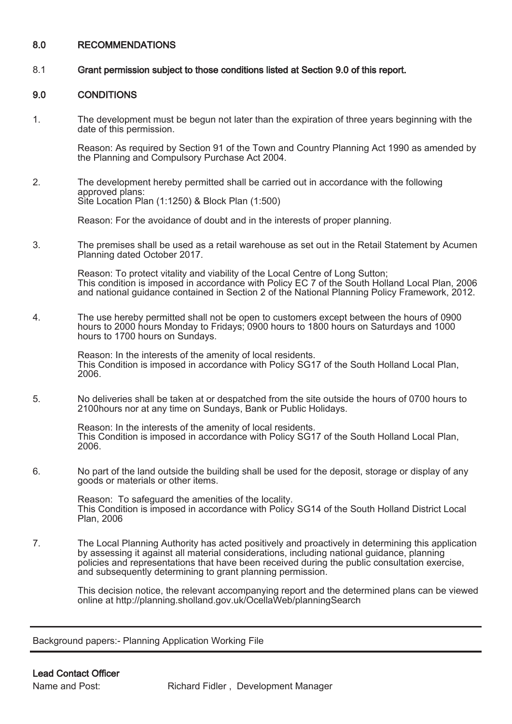## 8.0 RECOMMENDATIONS

## 8.1 Grant permission subject to those conditions listed at Section 9.0 of this report.

## 9.0 CONDITIONS

1. The development must be begun not later than the expiration of three years beginning with the date of this permission.

Reason: As required by Section 91 of the Town and Country Planning Act 1990 as amended by the Planning and Compulsory Purchase Act 2004.

2. The development hereby permitted shall be carried out in accordance with the following approved plans: Site Location Plan (1:1250) & Block Plan (1:500)

Reason: For the avoidance of doubt and in the interests of proper planning.

3. The premises shall be used as a retail warehouse as set out in the Retail Statement by Acumen Planning dated October 2017.

Reason: To protect vitality and viability of the Local Centre of Long Sutton; This condition is imposed in accordance with Policy EC 7 of the South Holland Local Plan, 2006 and national guidance contained in Section 2 of the National Planning Policy Framework, 2012.

4. The use hereby permitted shall not be open to customers except between the hours of 0900 hours to 2000 hours Monday to Fridays; 0900 hours to 1800 hours on Saturdays and 1000 hours to 1700 hours on Sundays.

> Reason: In the interests of the amenity of local residents. This Condition is imposed in accordance with Policy SG17 of the South Holland Local Plan, 2006.

5. No deliveries shall be taken at or despatched from the site outside the hours of 0700 hours to 2100hours nor at any time on Sundays, Bank or Public Holidays.

Reason: In the interests of the amenity of local residents. This Condition is imposed in accordance with Policy SG17 of the South Holland Local Plan, 2006.

6. No part of the land outside the building shall be used for the deposit, storage or display of any goods or materials or other items.

Reason: To safeguard the amenities of the locality. This Condition is imposed in accordance with Policy SG14 of the South Holland District Local Plan, 2006

7. The Local Planning Authority has acted positively and proactively in determining this application by assessing it against all material considerations, including national guidance, planning policies and representations that have been received during the public consultation exercise, and subsequently determining to grant planning permission.

This decision notice, the relevant accompanying report and the determined plans can be viewed online at http://planning.sholland.gov.uk/OcellaWeb/planningSearch

Background papers:- Planning Application Working File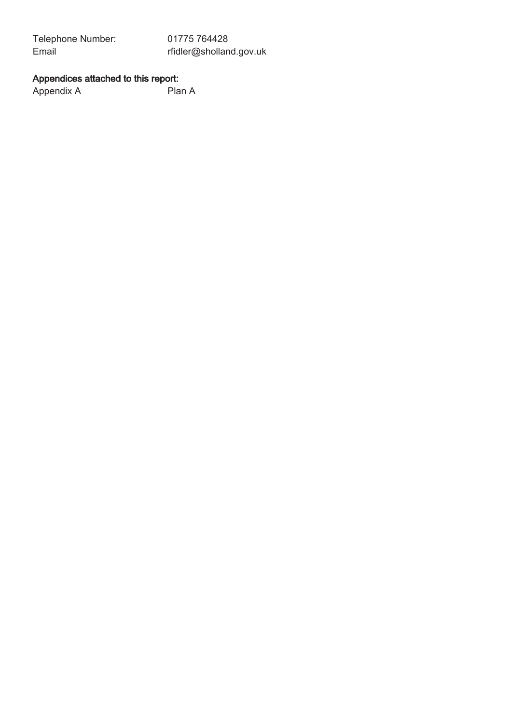Telephone Number: 01775 764428<br>Email fidler@shollan rfidler@sholland.gov.uk

# Appendices attached to this report:

Appendix A Plan A